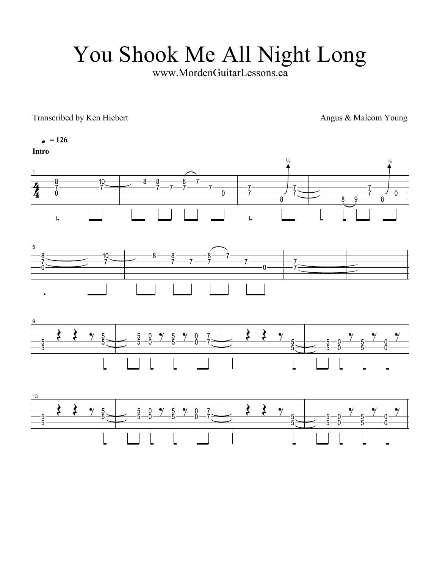## You Shook Me All Night Long

www.MordenGuitarLessons.ca